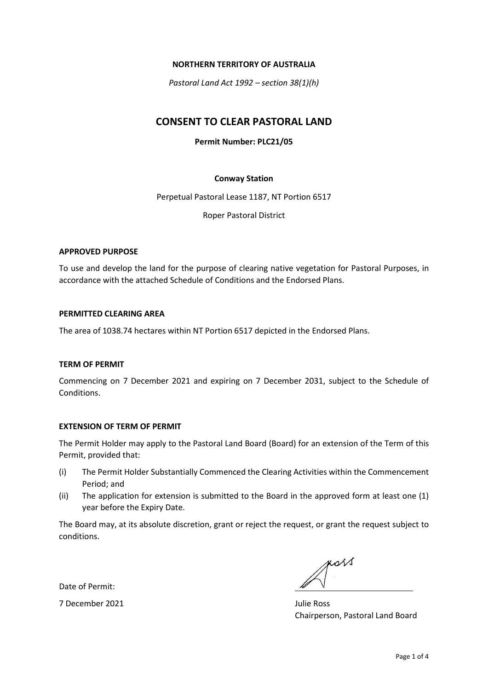## NORTHERN TERRITORY OF AUSTRALIA

Pastoral Land Act 1992 – section 38(1)(h)

# CONSENT TO CLEAR PASTORAL LAND

## Permit Number: PLC21/05

### Conway Station

Perpetual Pastoral Lease 1187, NT Portion 6517

Roper Pastoral District

### APPROVED PURPOSE

 To use and develop the land for the purpose of clearing native vegetation for Pastoral Purposes, in accordance with the attached Schedule of Conditions and the Endorsed Plans.

#### PERMITTED CLEARING AREA

The area of 1038.74 hectares within NT Portion 6517 depicted in the Endorsed Plans.

### TERM OF PERMIT

 Commencing on 7 December 2021 and expiring on 7 December 2031, subject to the Schedule of Conditions.

## EXTENSION OF TERM OF PERMIT

 The Permit Holder may apply to the Pastoral Land Board (Board) for an extension of the Term of this Permit, provided that:

- (i) The Permit Holder Substantially Commenced the Clearing Activities within the Commencement Period; and
- (ii) The application for extension is submitted to the Board in the approved form at least one (1) year before the Expiry Date.

 The Board may, at its absolute discretion, grant or reject the request, or grant the request subject to conditions.

Date of Permit:

7 December 2021 Julie Ross

KOSS

Chairperson, Pastoral Land Board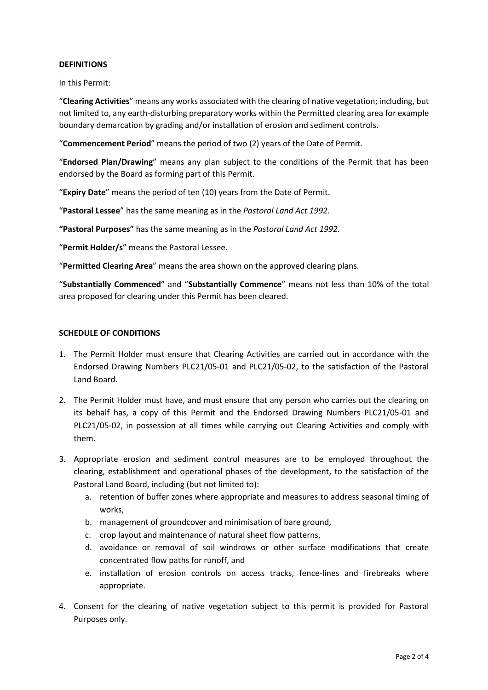### DEFINITIONS

In this Permit:

"Clearing Activities" means any works associated with the clearing of native vegetation; including, but not limited to, any earth-disturbing preparatory works within the Permitted clearing area for example boundary demarcation by grading and/or installation of erosion and sediment controls.

"Commencement Period" means the period of two (2) years of the Date of Permit.

"Endorsed Plan/Drawing" means any plan subject to the conditions of the Permit that has been endorsed by the Board as forming part of this Permit.

"Expiry Date" means the period of ten (10) years from the Date of Permit.

"Pastoral Lessee" has the same meaning as in the Pastoral Land Act 1992.

"Pastoral Purposes" has the same meaning as in the Pastoral Land Act 1992.

"Permit Holder/s" means the Pastoral Lessee.

"Permitted Clearing Area" means the area shown on the approved clearing plans.

 "Substantially Commenced" and "Substantially Commence" means not less than 10% of the total area proposed for clearing under this Permit has been cleared.

## SCHEDULE OF CONDITIONS

- 1. The Permit Holder must ensure that Clearing Activities are carried out in accordance with the Endorsed Drawing Numbers PLC21/05-01 and PLC21/05-02, to the satisfaction of the Pastoral Land Board.
- 2. The Permit Holder must have, and must ensure that any person who carries out the clearing on its behalf has, a copy of this Permit and the Endorsed Drawing Numbers PLC21/05-01 and PLC21/05-02, in possession at all times while carrying out Clearing Activities and comply with them.
- 3. Appropriate erosion and sediment control measures are to be employed throughout the clearing, establishment and operational phases of the development, to the satisfaction of the Pastoral Land Board, including (but not limited to):
	- a. retention of buffer zones where appropriate and measures to address seasonal timing of works,
	- b. management of groundcover and minimisation of bare ground,
	- c. crop layout and maintenance of natural sheet flow patterns,
	- d. avoidance or removal of soil windrows or other surface modifications that create concentrated flow paths for runoff, and
	- e. installation of erosion controls on access tracks, fence-lines and firebreaks where appropriate.
- 4. Consent for the clearing of native vegetation subject to this permit is provided for Pastoral Purposes only.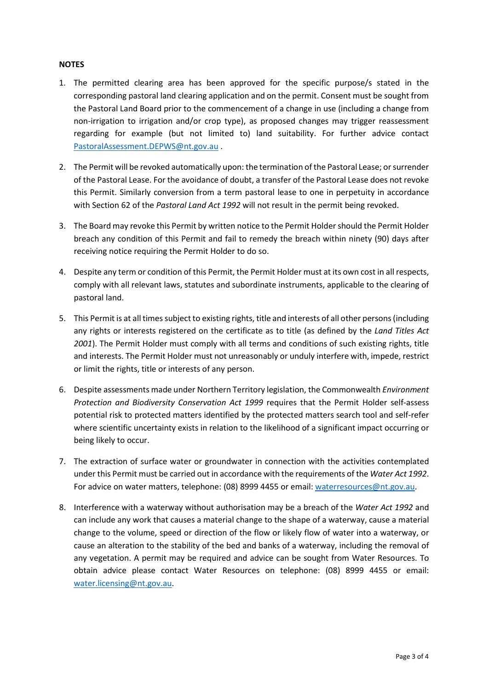## **NOTES**

- 1. The permitted clearing area has been approved for the specific purpose/s stated in the corresponding pastoral land clearing application and on the permit. Consent must be sought from the Pastoral Land Board prior to the commencement of a change in use (including a change from non-irrigation to irrigation and/or crop type), as proposed changes may trigger reassessment regarding for example (but not limited to) land suitability. For further advice contact PastoralAssessment.DEPWS@nt.gov.au .
- 2. The Permit will be revoked automatically upon: the termination of the Pastoral Lease; or surrender of the Pastoral Lease. For the avoidance of doubt, a transfer of the Pastoral Lease does not revoke this Permit. Similarly conversion from a term pastoral lease to one in perpetuity in accordance with Section 62 of the Pastoral Land Act 1992 will not result in the permit being revoked.
- 3. The Board may revoke this Permit by written notice to the Permit Holder should the Permit Holder breach any condition of this Permit and fail to remedy the breach within ninety (90) days after receiving notice requiring the Permit Holder to do so.
- 4. Despite any term or condition of this Permit, the Permit Holder must at its own cost in all respects, comply with all relevant laws, statutes and subordinate instruments, applicable to the clearing of pastoral land.
- 5. This Permit is at all times subject to existing rights, title and interests of all other persons (including any rights or interests registered on the certificate as to title (as defined by the Land Titles Act 2001). The Permit Holder must comply with all terms and conditions of such existing rights, title and interests. The Permit Holder must not unreasonably or unduly interfere with, impede, restrict or limit the rights, title or interests of any person.
- 6. Despite assessments made under Northern Territory legislation, the Commonwealth Environment Protection and Biodiversity Conservation Act 1999 requires that the Permit Holder self-assess potential risk to protected matters identified by the protected matters search tool and self-refer where scientific uncertainty exists in relation to the likelihood of a significant impact occurring or being likely to occur.
- 7. The extraction of surface water or groundwater in connection with the activities contemplated under this Permit must be carried out in accordance with the requirements of the Water Act 1992. For advice on water matters, telephone: (08) 8999 4455 or email: waterresources@nt.gov.au.
- 8. Interference with a waterway without authorisation may be a breach of the Water Act 1992 and can include any work that causes a material change to the shape of a waterway, cause a material change to the volume, speed or direction of the flow or likely flow of water into a waterway, or cause an alteration to the stability of the bed and banks of a waterway, including the removal of any vegetation. A permit may be required and advice can be sought from Water Resources. To obtain advice please contact Water Resources on telephone: (08) 8999 4455 or email: water.licensing@nt.gov.au.